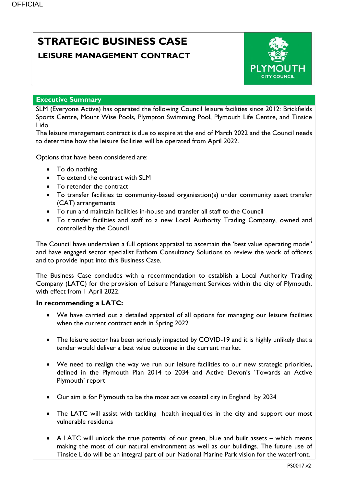# **STRATEGIC BUSINESS CASE LEISURE MANAGEMENT CONTRACT**



### **Executive Summary**

SLM (Everyone Active) has operated the following Council leisure facilities since 2012: Brickfields Sports Centre, Mount Wise Pools, Plympton Swimming Pool, Plymouth Life Centre, and Tinside Lido.

The leisure management contract is due to expire at the end of March 2022 and the Council needs to determine how the leisure facilities will be operated from April 2022.

Options that have been considered are:

- To do nothing
- To extend the contract with SLM
- To retender the contract
- To transfer facilities to community-based organisation(s) under community asset transfer (CAT) arrangements
- To run and maintain facilities in-house and transfer all staff to the Council
- To transfer facilities and staff to a new Local Authority Trading Company, owned and controlled by the Council

The Council have undertaken a full options appraisal to ascertain the 'best value operating model' and have engaged sector specialist Fathom Consultancy Solutions to review the work of officers and to provide input into this Business Case.

The Business Case concludes with a recommendation to establish a Local Authority Trading Company (LATC) for the provision of Leisure Management Services within the city of Plymouth, with effect from 1 April 2022.

### **In recommending a LATC:**

- We have carried out a detailed appraisal of all options for managing our leisure facilities when the current contract ends in Spring 2022
- The leisure sector has been seriously impacted by COVID-19 and it is highly unlikely that a tender would deliver a best value outcome in the current market
- We need to realign the way we run our leisure facilities to our new strategic priorities, defined in the Plymouth Plan 2014 to 2034 and Active Devon's 'Towards an Active Plymouth' report
- Our aim is for Plymouth to be the most active coastal city in England by 2034
- The LATC will assist with tackling health inequalities in the city and support our most vulnerable residents
- A LATC will unlock the true potential of our green, blue and built assets which means making the most of our natural environment as well as our buildings. The future use of Tinside Lido will be an integral part of our National Marine Park vision for the waterfront.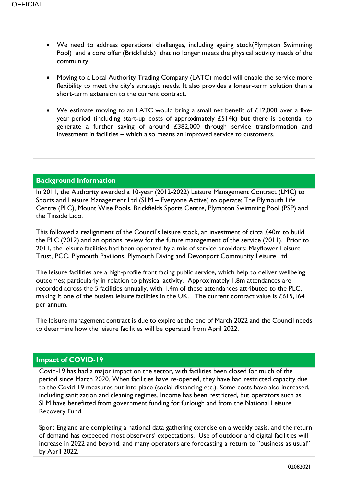- We need to address operational challenges, including ageing stock(Plympton Swimming Pool) and a core offer (Brickfields) that no longer meets the physical activity needs of the community
- Moving to a Local Authority Trading Company (LATC) model will enable the service more flexibility to meet the city's strategic needs. It also provides a longer-term solution than a short-term extension to the current contract.
- We estimate moving to an LATC would bring a small net benefit of £12,000 over a fiveyear period (including start-up costs of approximately £514k) but there is potential to generate a further saving of around £382,000 through service transformation and investment in facilities – which also means an improved service to customers.

## **Background Information**

In 2011, the Authority awarded a 10-year (2012-2022) Leisure Management Contract (LMC) to Sports and Leisure Management Ltd (SLM – Everyone Active) to operate: The Plymouth Life Centre (PLC), Mount Wise Pools, Brickfields Sports Centre, Plympton Swimming Pool (PSP) and the Tinside Lido.

This followed a realignment of the Council's leisure stock, an investment of circa £40m to build the PLC (2012) and an options review for the future management of the service (2011). Prior to 2011, the leisure facilities had been operated by a mix of service providers; Mayflower Leisure Trust, PCC, Plymouth Pavilions, Plymouth Diving and Devonport Community Leisure Ltd.

The leisure facilities are a high-profile front facing public service, which help to deliver wellbeing outcomes; particularly in relation to physical activity. Approximately 1.8m attendances are recorded across the 5 facilities annually, with 1.4m of these attendances attributed to the PLC, making it one of the busiest leisure facilities in the UK. The current contract value is £615,164 per annum.

The leisure management contract is due to expire at the end of March 2022 and the Council needs to determine how the leisure facilities will be operated from April 2022.

# **Impact of COVID-19**

Covid-19 has had a major impact on the sector, with facilities been closed for much of the period since March 2020. When facilities have re-opened, they have had restricted capacity due to the Covid-19 measures put into place (social distancing etc.). Some costs have also increased, including sanitization and cleaning regimes. Income has been restricted, but operators such as SLM have benefitted from government funding for furlough and from the National Leisure Recovery Fund.

Sport England are completing a national data gathering exercise on a weekly basis, and the return of demand has exceeded most observers' expectations. Use of outdoor and digital facilities will increase in 2022 and beyond, and many operators are forecasting a return to ''business as usual'' by April 2022.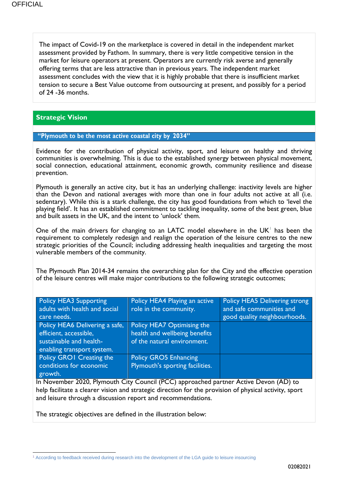The impact of Covid-19 on the marketplace is covered in detail in the independent market assessment provided by Fathom. In summary, there is very little competitive tension in the market for leisure operators at present. Operators are currently risk averse and generally offering terms that are less attractive than in previous years. The independent market assessment concludes with the view that it is highly probable that there is insufficient market tension to secure a Best Value outcome from outsourcing at present, and possibly for a period of 24 -36 months.

## **Strategic Vision**

### **"Plymouth to be the most active coastal city by 2034"**

Evidence for the contribution of physical activity, sport, and leisure on healthy and thriving communities is overwhelming. This is due to the established synergy between physical movement, social connection, educational attainment, economic growth, community resilience and disease prevention.

Plymouth is generally an active city, but it has an underlying challenge: inactivity levels are higher than the Devon and national averages with more than one in four adults not active at all (i.e. sedentary). While this is a stark challenge, the city has good foundations from which to 'level the playing field'. It has an established commitment to tackling inequality, some of the best green, blue and built assets in the UK, and the intent to 'unlock' them.

One of the main drivers for changing to an LATC model elsewhere in the  $UK<sup>†</sup>$  has been the requirement to completely redesign and realign the operation of the leisure centres to the new strategic priorities of the Council; including addressing health inequalities and targeting the most vulnerable members of the community.

The Plymouth Plan 2014-34 remains the overarching plan for the City and the effective operation of the leisure centres will make major contributions to the following strategic outcomes;

| <b>Policy HEA3 Supporting</b>   | Policy HEA4 Playing an active   | Policy HEA5 Delivering strong |
|---------------------------------|---------------------------------|-------------------------------|
| adults with health and social   | role in the community.          | and safe communities and      |
| care needs.                     |                                 | good quality neighbourhoods.  |
| Policy HEA6 Delivering a safe,  | Policy HEA7 Optimising the      |                               |
| efficient, accessible,          | health and wellbeing benefits   |                               |
| sustainable and health-         | of the natural environment.     |                               |
| enabling transport system.      |                                 |                               |
| <b>Policy GROI Creating the</b> | <b>Policy GRO5 Enhancing</b>    |                               |
| conditions for economic         | Plymouth's sporting facilities. |                               |
| growth.                         |                                 |                               |

In November 2020, Plymouth City Council (PCC) approached partner Active Devon (AD) to help facilitate a clearer vision and strategic direction for the provision of physical activity, sport and leisure through a discussion report and recommendations.

The strategic objectives are defined in the illustration below:

**<sup>.</sup>** <sup>1</sup> According to feedback received during research into the development of the LGA guide to leisure insourcing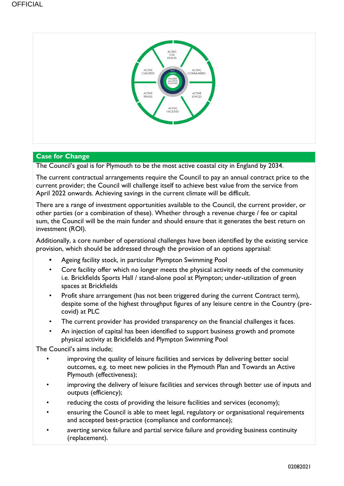

## **Case for Change**

The Council's goal is for Plymouth to be the most active coastal city in England by 2034.

The current contractual arrangements require the Council to pay an annual contract price to the current provider; the Council will challenge itself to achieve best value from the service from April 2022 onwards. Achieving savings in the current climate will be difficult.

There are a range of investment opportunities available to the Council, the current provider, or other parties (or a combination of these). Whether through a revenue charge / fee or capital sum, the Council will be the main funder and should ensure that it generates the best return on investment (ROI).

Additionally, a core number of operational challenges have been identified by the existing service provision, which should be addressed through the provision of an options appraisal:

- **•** Ageing facility stock, in particular Plympton Swimming Pool
- Core facility offer which no longer meets the physical activity needs of the community i.e. Brickfields Sports Hall / stand-alone pool at Plympton; under-utilization of green spaces at Brickfields
- Profit share arrangement (has not been triggered during the current Contract term), despite some of the highest throughput figures of any leisure centre in the Country (precovid) at PLC
- The current provider has provided transparency on the financial challenges it faces.
- An injection of capital has been identified to support business growth and promote physical activity at Brickfields and Plympton Swimming Pool

The Council's aims include;

- improving the quality of leisure facilities and services by delivering better social outcomes, e.g. to meet new policies in the Plymouth Plan and Towards an Active Plymouth (effectiveness);
- improving the delivery of leisure facilities and services through better use of inputs and outputs (efficiency);
- reducing the costs of providing the leisure facilities and services (economy);
- ensuring the Council is able to meet legal, regulatory or organisational requirements and accepted best-practice (compliance and conformance);
- averting service failure and partial service failure and providing business continuity (replacement).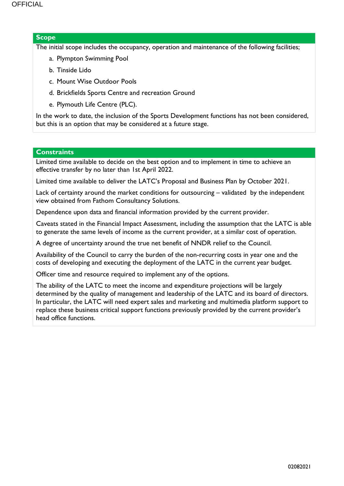### **Scope**

The initial scope includes the occupancy, operation and maintenance of the following facilities;

- a. Plympton Swimming Pool
- b. Tinside Lido
- c. Mount Wise Outdoor Pools
- d. Brickfields Sports Centre and recreation Ground
- e. Plymouth Life Centre (PLC).

In the work to date, the inclusion of the Sports Development functions has not been considered, but this is an option that may be considered at a future stage.

### **Constraints**

Limited time available to decide on the best option and to implement in time to achieve an effective transfer by no later than 1st April 2022.

Limited time available to deliver the LATC's Proposal and Business Plan by October 2021.

Lack of certainty around the market conditions for outsourcing – validated by the independent view obtained from Fathom Consultancy Solutions.

Dependence upon data and financial information provided by the current provider.

Caveats stated in the Financial Impact Assessment, including the assumption that the LATC is able to generate the same levels of income as the current provider, at a similar cost of operation.

A degree of uncertainty around the true net benefit of NNDR relief to the Council.

Availability of the Council to carry the burden of the non-recurring costs in year one and the costs of developing and executing the deployment of the LATC in the current year budget.

Officer time and resource required to implement any of the options.

The ability of the LATC to meet the income and expenditure projections will be largely determined by the quality of management and leadership of the LATC and its board of directors. In particular, the LATC will need expert sales and marketing and multimedia platform support to replace these business critical support functions previously provided by the current provider's head office functions.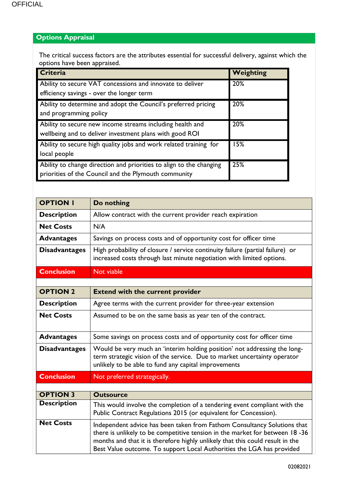# **Options Appraisal**

The critical success factors are the attributes essential for successful delivery, against which the options have been appraised.

| Criteria                                                                                                                    | Weighting |
|-----------------------------------------------------------------------------------------------------------------------------|-----------|
| Ability to secure VAT concessions and innovate to deliver<br>efficiency savings - over the longer term                      | 20%       |
| Ability to determine and adopt the Council's preferred pricing<br>and programming policy                                    | 20%       |
| Ability to secure new income streams including health and<br>wellbeing and to deliver investment plans with good ROI        | 20%       |
| Ability to secure high quality jobs and work related training for<br>local people                                           | 15%       |
| Ability to change direction and priorities to align to the changing<br>priorities of the Council and the Plymouth community | 25%       |

| <b>OPTION I</b>      | Do nothing                                                                                                                                                                                                                                                                                                         |
|----------------------|--------------------------------------------------------------------------------------------------------------------------------------------------------------------------------------------------------------------------------------------------------------------------------------------------------------------|
| <b>Description</b>   | Allow contract with the current provider reach expiration                                                                                                                                                                                                                                                          |
| <b>Net Costs</b>     | N/A                                                                                                                                                                                                                                                                                                                |
| <b>Advantages</b>    | Savings on process costs and of opportunity cost for officer time                                                                                                                                                                                                                                                  |
| <b>Disadvantages</b> | High probability of closure / service continuity failure (partial failure) or<br>increased costs through last minute negotiation with limited options.                                                                                                                                                             |
| <b>Conclusion</b>    | Not viable                                                                                                                                                                                                                                                                                                         |
|                      |                                                                                                                                                                                                                                                                                                                    |
| <b>OPTION 2</b>      | <b>Extend with the current provider</b>                                                                                                                                                                                                                                                                            |
| <b>Description</b>   | Agree terms with the current provider for three-year extension                                                                                                                                                                                                                                                     |
| <b>Net Costs</b>     | Assumed to be on the same basis as year ten of the contract.                                                                                                                                                                                                                                                       |
| <b>Advantages</b>    | Some savings on process costs and of opportunity cost for officer time                                                                                                                                                                                                                                             |
| <b>Disadvantages</b> | Would be very much an 'interim holding position' not addressing the long-<br>term strategic vision of the service. Due to market uncertainty operator<br>unlikely to be able to fund any capital improvements                                                                                                      |
| <b>Conclusion</b>    | Not preferred strategically.                                                                                                                                                                                                                                                                                       |
|                      |                                                                                                                                                                                                                                                                                                                    |
| <b>OPTION 3</b>      | <b>Outsource</b>                                                                                                                                                                                                                                                                                                   |
| <b>Description</b>   | This would involve the completion of a tendering event compliant with the<br>Public Contract Regulations 2015 (or equivalent for Concession).                                                                                                                                                                      |
| <b>Net Costs</b>     | Independent advice has been taken from Fathom Consultancy Solutions that<br>there is unlikely to be competitive tension in the market for between 18 -36<br>months and that it is therefore highly unlikely that this could result in the<br>Best Value outcome. To support Local Authorities the LGA has provided |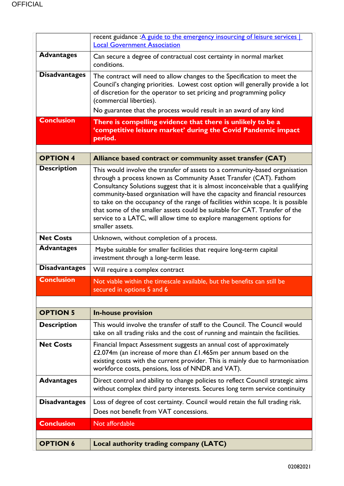|                      | recent guidance : A guide to the emergency insourcing of leisure services  <br><b>Local Government Association</b>                                                                                                                                                                                                                                                                                                                                                                                                                                                              |
|----------------------|---------------------------------------------------------------------------------------------------------------------------------------------------------------------------------------------------------------------------------------------------------------------------------------------------------------------------------------------------------------------------------------------------------------------------------------------------------------------------------------------------------------------------------------------------------------------------------|
| <b>Advantages</b>    | Can secure a degree of contractual cost certainty in normal market<br>conditions.                                                                                                                                                                                                                                                                                                                                                                                                                                                                                               |
| <b>Disadvantages</b> | The contract will need to allow changes to the Specification to meet the<br>Council's changing priorities. Lowest cost option will generally provide a lot<br>of discretion for the operator to set pricing and programming policy<br>(commercial liberties).<br>No guarantee that the process would result in an award of any kind                                                                                                                                                                                                                                             |
| <b>Conclusion</b>    | There is compelling evidence that there is unlikely to be a<br>'competitive leisure market' during the Covid Pandemic impact<br>period.                                                                                                                                                                                                                                                                                                                                                                                                                                         |
|                      |                                                                                                                                                                                                                                                                                                                                                                                                                                                                                                                                                                                 |
| <b>OPTION 4</b>      | Alliance based contract or community asset transfer (CAT)                                                                                                                                                                                                                                                                                                                                                                                                                                                                                                                       |
| <b>Description</b>   | This would involve the transfer of assets to a community-based organisation<br>through a process known as Community Asset Transfer (CAT). Fathom<br>Consultancy Solutions suggest that it is almost inconceivable that a qualifying<br>community-based organisation will have the capacity and financial resources<br>to take on the occupancy of the range of facilities within scope. It is possible<br>that some of the smaller assets could be suitable for CAT. Transfer of the<br>service to a LATC, will allow time to explore management options for<br>smaller assets. |
| <b>Net Costs</b>     | Unknown, without completion of a process.                                                                                                                                                                                                                                                                                                                                                                                                                                                                                                                                       |
| <b>Advantages</b>    | Maybe suitable for smaller facilities that require long-term capital<br>investment through a long-term lease.                                                                                                                                                                                                                                                                                                                                                                                                                                                                   |
| <b>Disadvantages</b> | Will require a complex contract                                                                                                                                                                                                                                                                                                                                                                                                                                                                                                                                                 |
| <b>Conclusion</b>    | Not viable within the timescale available, but the benefits can still be<br>secured in options 5 and 6                                                                                                                                                                                                                                                                                                                                                                                                                                                                          |
|                      |                                                                                                                                                                                                                                                                                                                                                                                                                                                                                                                                                                                 |
| <b>OPTION 5</b>      | <b>In-house provision</b>                                                                                                                                                                                                                                                                                                                                                                                                                                                                                                                                                       |
| <b>Description</b>   | This would involve the transfer of staff to the Council. The Council would<br>take on all trading risks and the cost of running and maintain the facilities.                                                                                                                                                                                                                                                                                                                                                                                                                    |
| <b>Net Costs</b>     | Financial Impact Assessment suggests an annual cost of approximately<br>£2.074m (an increase of more than $£1.465m$ per annum based on the<br>existing costs with the current provider. This is mainly due to harmonisation<br>workforce costs, pensions, loss of NNDR and VAT).                                                                                                                                                                                                                                                                                                |
| <b>Advantages</b>    | Direct control and ability to change policies to reflect Council strategic aims<br>without complex third party interests. Secures long term service continuity                                                                                                                                                                                                                                                                                                                                                                                                                  |
| <b>Disadvantages</b> | Loss of degree of cost certainty. Council would retain the full trading risk.<br>Does not benefit from VAT concessions.                                                                                                                                                                                                                                                                                                                                                                                                                                                         |
| <b>Conclusion</b>    | Not affordable                                                                                                                                                                                                                                                                                                                                                                                                                                                                                                                                                                  |
|                      |                                                                                                                                                                                                                                                                                                                                                                                                                                                                                                                                                                                 |
| <b>OPTION 6</b>      | Local authority trading company (LATC)                                                                                                                                                                                                                                                                                                                                                                                                                                                                                                                                          |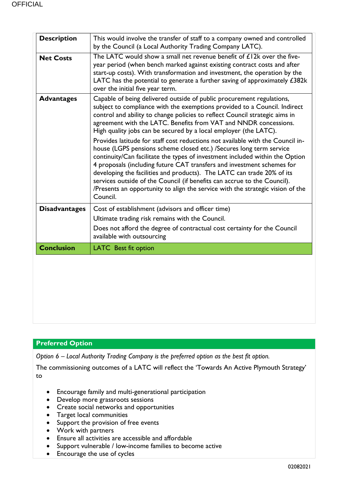| This would involve the transfer of staff to a company owned and controlled<br>by the Council (a Local Authority Trading Company LATC).                                                                                                                                                                                                                                                                                                                                                                                                                                                                                                                                                                                                                                                                                                                                                                                                           |
|--------------------------------------------------------------------------------------------------------------------------------------------------------------------------------------------------------------------------------------------------------------------------------------------------------------------------------------------------------------------------------------------------------------------------------------------------------------------------------------------------------------------------------------------------------------------------------------------------------------------------------------------------------------------------------------------------------------------------------------------------------------------------------------------------------------------------------------------------------------------------------------------------------------------------------------------------|
| The LATC would show a small net revenue benefit of £12k over the five-<br>year period (when bench marked against existing contract costs and after<br>start-up costs). With transformation and investment, the operation by the<br>LATC has the potential to generate a further saving of approximately £382k<br>over the initial five year term.                                                                                                                                                                                                                                                                                                                                                                                                                                                                                                                                                                                                |
| Capable of being delivered outside of public procurement regulations,<br>subject to compliance with the exemptions provided to a Council. Indirect<br>control and ability to change policies to reflect Council strategic aims in<br>agreement with the LATC. Benefits from VAT and NNDR concessions.<br>High quality jobs can be secured by a local employer (the LATC).<br>Provides latitude for staff cost reductions not available with the Council in-<br>house (LGPS pensions scheme closed etc.) /Secures long term service<br>continuity/Can facilitate the types of investment included within the Option<br>4 proposals (including future CAT transfers and investment schemes for<br>developing the facilities and products). The LATC can trade 20% of its<br>services outside of the Council (if benefits can accrue to the Council).<br>/Presents an opportunity to align the service with the strategic vision of the<br>Council. |
| Cost of establishment (advisors and officer time)<br>Ultimate trading risk remains with the Council.<br>Does not afford the degree of contractual cost certainty for the Council<br>available with outsourcing                                                                                                                                                                                                                                                                                                                                                                                                                                                                                                                                                                                                                                                                                                                                   |
| <b>LATC</b> Best fit option                                                                                                                                                                                                                                                                                                                                                                                                                                                                                                                                                                                                                                                                                                                                                                                                                                                                                                                      |
|                                                                                                                                                                                                                                                                                                                                                                                                                                                                                                                                                                                                                                                                                                                                                                                                                                                                                                                                                  |
|                                                                                                                                                                                                                                                                                                                                                                                                                                                                                                                                                                                                                                                                                                                                                                                                                                                                                                                                                  |

## **Preferred Option**

*Option 6 – Local Authority Trading Company is the preferred option as the best fit option.*

The commissioning outcomes of a LATC will reflect the 'Towards An Active Plymouth Strategy' to

- Encourage family and multi-generational participation
- Develop more grassroots sessions
- Create social networks and opportunities
- Target local communities
- Support the provision of free events
- Work with partners
- Ensure all activities are accessible and affordable
- Support vulnerable / low-income families to become active
- Encourage the use of cycles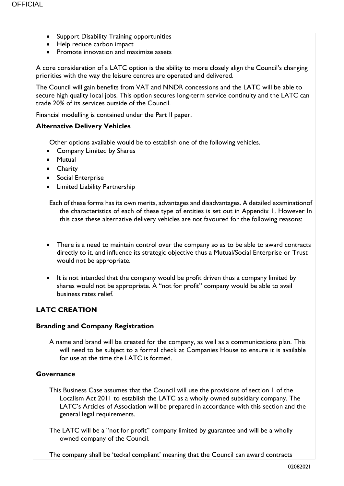- Support Disability Training opportunities
- Help reduce carbon impact
- Promote innovation and maximize assets

A core consideration of a LATC option is the ability to more closely align the Council's changing priorities with the way the leisure centres are operated and delivered.

The Council will gain benefits from VAT and NNDR concessions and the LATC will be able to secure high quality local jobs. This option secures long-term service continuity and the LATC can trade 20% of its services outside of the Council.

Financial modelling is contained under the Part II paper.

### **Alternative Delivery Vehicles**

Other options available would be to establish one of the following vehicles.

- Company Limited by Shares
- Mutual
- Charity
- Social Enterprise
- Limited Liability Partnership

Each of these forms has its own merits, advantages and disadvantages. A detailed examinationof the characteristics of each of these type of entities is set out in Appendix 1. However In this case these alternative delivery vehicles are not favoured for the following reasons:

- There is a need to maintain control over the company so as to be able to award contracts directly to it, and influence its strategic objective thus a Mutual/Social Enterprise or Trust would not be appropriate.
- It is not intended that the company would be profit driven thus a company limited by shares would not be appropriate. A "not for profit" company would be able to avail business rates relief.

# **LATC CREATION**

### **Branding and Company Registration**

A name and brand will be created for the company, as well as a communications plan. This will need to be subject to a formal check at Companies House to ensure it is available for use at the time the LATC is formed.

## **Governance**

This Business Case assumes that the Council will use the provisions of section 1 of the Localism Act 2011 to establish the LATC as a wholly owned subsidiary company. The LATC's Articles of Association will be prepared in accordance with this section and the general legal requirements.

The LATC will be a "not for profit" company limited by guarantee and will be a wholly owned company of the Council.

The company shall be 'teckal compliant' meaning that the Council can award contracts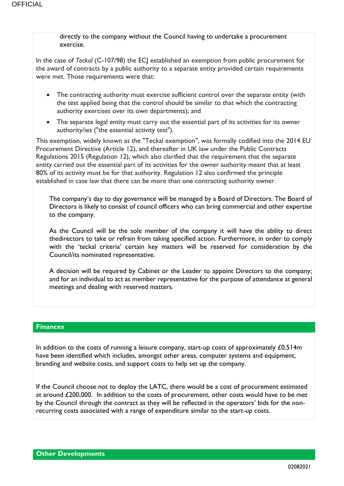directly to the company without the Council having to undertake a procurement exercise.

In the case of *Teckal* (C-107/98) the ECJ established an exemption from public procurement for the award of contracts by a public authority to a separate entity provided certain requirements were met. Those requirements were that:

- The contracting authority must exercise sufficient control over the separate entity (with the test applied being that the control should be similar to that which the contracting authority exercises over its own departments); and
- The separate legal entity must carry out the essential part of its activities for its owner authority/ies ("the essential activity test").

This exemption, widely known as the "Teckal exemption", was formally codified into the 2014 EU Procurement Directive (Article 12), and thereafter in UK law under the Public Contracts Regulations 2015 (Regulation 12), which also clarified that the requirement that the separate entity carried out the essential part of its activities for the owner authority meant that at least 80% of its activity must be for that authority. Regulation 12 also confirmed the principle established in case law that there can be more than one contracting authority owner.

The company's day to day governance will be managed by a Board of Directors. The Board of Directors is likely to consist of council officers who can bring commercial and other expertise to the company.

As the Council will be the sole member of the company it will have the ability to direct thedirectors to take or refrain from taking specified action. Furthermore, in order to comply with the 'teckal criteria' certain key matters will be reserved for consideration by the Council/its nominated representative.

A decision will be required by Cabinet or the Leader to appoint Directors to the company; and for an individual to act as member representative for the purpose of attendance at general meetings and dealing with reserved matters.

# **Finances**

In addition to the costs of running a leisure company, start-up costs of approximately  $£0.514m$ have been identified which includes, amongst other areas, computer systems and equipment, branding and website costs, and support costs to help set up the company.

If the Council choose not to deploy the LATC, there would be a cost of procurement estimated at around £200,000. In addition to the costs of procurement, other costs would have to be met by the Council through the contract as they will be reflected in the operators' bids for the nonrecurring costs associated with a range of expenditure similar to the start-up costs.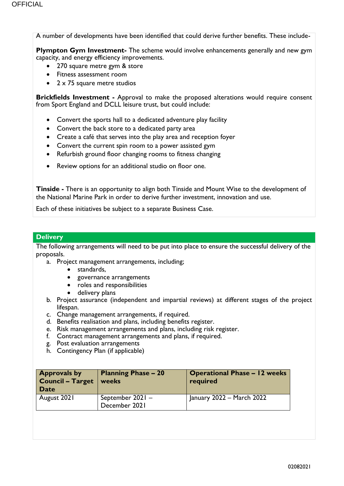A number of developments have been identified that could derive further benefits. These include-

**Plympton Gym Investment-** The scheme would involve enhancements generally and new gym capacity, and energy efficiency improvements.

- 270 square metre gym & store
- Fitness assessment room
- 2 x 75 square metre studios

**Brickfields Investment -** Approval to make the proposed alterations would require consent from Sport England and DCLL leisure trust, but could include:

- Convert the sports hall to a dedicated adventure play facility
- Convert the back store to a dedicated party area
- Create a café that serves into the play area and reception foyer
- Convert the current spin room to a power assisted gym
- Refurbish ground floor changing rooms to fitness changing
- Review options for an additional studio on floor one.

**Tinside -** There is an opportunity to align both Tinside and Mount Wise to the development of the National Marine Park in order to derive further investment, innovation and use.

Each of these initiatives be subject to a separate Business Case.

### **Delivery**

The following arrangements will need to be put into place to ensure the successful delivery of the proposals.

a. Project management arrangements, including;

- standards,
- governance arrangements
- roles and responsibilities
- delivery plans
- b. Project assurance (independent and impartial reviews) at different stages of the project lifespan.
- c. Change management arrangements, if required.
- d. Benefits realisation and plans, including benefits register.
- e. Risk management arrangements and plans, including risk register.
- f. Contract management arrangements and plans, if required.
- g. Post evaluation arrangements
- h. Contingency Plan (if applicable)

| <b>Approvals by</b><br><b>Council - Target</b><br>Date | <b>Planning Phase - 20</b><br>weeks | <b>Operational Phase - 12 weeks</b><br>required |
|--------------------------------------------------------|-------------------------------------|-------------------------------------------------|
| August 2021                                            | September 2021 -<br>December 2021   | January 2022 – March 2022                       |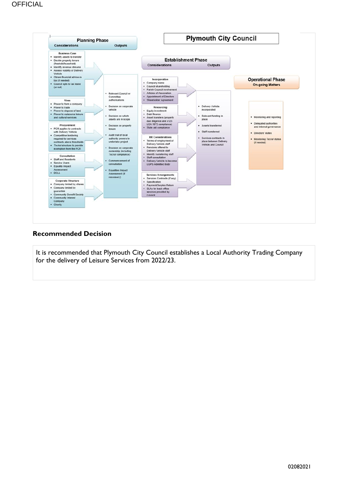

### **Recommended Decision**

It is recommended that Plymouth City Council establishes a Local Authority Trading Company for the delivery of Leisure Services from 2022/23.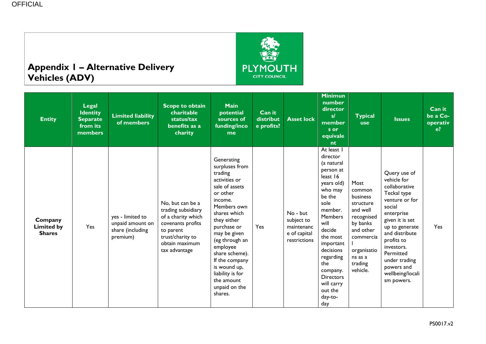# **Appendix 1 – Alternative Delivery Vehicles (ADV)**



| <b>Entity</b>                                 | <b>Legal</b><br><b>Identity</b><br><b>Separate</b><br>from its<br>members | <b>Limited liability</b><br>of members                               | <b>Scope to obtain</b><br>charitable<br>status/tax<br>benefits as a<br>charity                                                                        | <b>Main</b><br>potential<br>sources of<br>funding/inco<br>me                                                                                                                                                                                                                                                                   | Can it<br>distribut<br>$e$ profits? | <b>Asset lock</b>                                                    | <u>Mini</u> mun<br>number<br>director<br>sl<br>member<br>s or<br>equivale<br>nt                                                                                                                                                                                                              | <b>Typical</b><br><b>use</b>                                                                                                                             | <b>Issues</b>                                                                                                                                                                                                                                                          | Can it<br>be a Co-<br>operativ<br>$e$ ? |  |
|-----------------------------------------------|---------------------------------------------------------------------------|----------------------------------------------------------------------|-------------------------------------------------------------------------------------------------------------------------------------------------------|--------------------------------------------------------------------------------------------------------------------------------------------------------------------------------------------------------------------------------------------------------------------------------------------------------------------------------|-------------------------------------|----------------------------------------------------------------------|----------------------------------------------------------------------------------------------------------------------------------------------------------------------------------------------------------------------------------------------------------------------------------------------|----------------------------------------------------------------------------------------------------------------------------------------------------------|------------------------------------------------------------------------------------------------------------------------------------------------------------------------------------------------------------------------------------------------------------------------|-----------------------------------------|--|
| Company<br><b>Limited by</b><br><b>Shares</b> | <b>Yes</b>                                                                | yes - limited to<br>unpaid amount on<br>share (including<br>premium) | No, but can be a<br>trading subsidiary<br>of a charity which<br>covenants profits<br>to parent<br>trust/charity to<br>obtain maximum<br>tax advantage | Generating<br>surpluses from<br>trading<br>activities or<br>sale of assets<br>or other<br>income.<br>Members own<br>shares which<br>they either<br>purchase or<br>may be given<br>(eg through an<br>employee<br>share scheme).<br>If the company<br>is wound up,<br>liability is for<br>the amount<br>unpaid on the<br>shares. | Yes                                 | No - but<br>subject to<br>maintenanc<br>e of capital<br>restrictions | At least I<br>director<br>(a natural<br>person at<br>least 16<br>years old)<br>who may<br>be the<br>sole<br>member.<br><b>Members</b><br>will<br>decide<br>the most<br>important<br>decisions<br>regarding<br>the<br>company.<br><b>Directors</b><br>will carry<br>out the<br>day-to-<br>day | Most<br>common<br>business<br>structure<br>and well<br>recognised<br>by banks<br>and other<br>commercia<br>organisatio<br>ns as a<br>trading<br>vehicle. | Query use of<br>vehicle for<br>collaborative<br>Teckal type<br>venture or for<br>social<br>enterprise<br>given it is set<br>up to generate<br>and distribute<br>profits to<br>investors.<br>Permitted<br>under trading<br>powers and<br>wellbeing/locali<br>sm powers. | Yes                                     |  |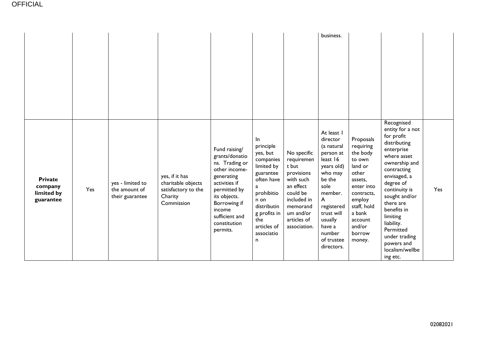|                                                      |     |                                                      |                                                                                      |                                                                                                                                                                                                           |                                                                                                                                                                                       |                                                                                                                                                               | business.                                                                                                                                                                                                                  |                                                                                                                                                                                     |                                                                                                                                                                                                                                                                                                                           |     |
|------------------------------------------------------|-----|------------------------------------------------------|--------------------------------------------------------------------------------------|-----------------------------------------------------------------------------------------------------------------------------------------------------------------------------------------------------------|---------------------------------------------------------------------------------------------------------------------------------------------------------------------------------------|---------------------------------------------------------------------------------------------------------------------------------------------------------------|----------------------------------------------------------------------------------------------------------------------------------------------------------------------------------------------------------------------------|-------------------------------------------------------------------------------------------------------------------------------------------------------------------------------------|---------------------------------------------------------------------------------------------------------------------------------------------------------------------------------------------------------------------------------------------------------------------------------------------------------------------------|-----|
| <b>Private</b><br>company<br>limited by<br>guarantee | Yes | yes - limited to<br>the amount of<br>their guarantee | yes, if it has<br>charitable objects<br>satisfactory to the<br>Charity<br>Commission | Fund raising/<br>grants/donatio<br>ns. Trading or<br>other income-<br>generating<br>activities if<br>permitted by<br>its objects.<br>Borrowing if<br>income<br>sufficient and<br>constitution<br>permits. | In.<br>principle<br>yes, but<br>companies<br>limited by<br>guarantee<br>often have<br>a<br>prohibitio<br>n on<br>distributin<br>g profits in<br>the<br>articles of<br>associatio<br>n | No specific<br>requiremen<br>t but<br>provisions<br>with such<br>an effect<br>could be<br>included in<br>memorand<br>um and/or<br>articles of<br>association. | At least I<br>director<br>(a natural<br>person at<br>least 16<br>years old)<br>who may<br>be the<br>sole<br>member.<br>$\mathsf{A}$<br>registered<br>trust will<br>usually<br>have a<br>number<br>of trustee<br>directors. | Proposals<br>requiring<br>the body<br>to own<br>land or<br>other<br>assets,<br>enter into<br>contracts,<br>employ<br>staff, hold<br>a bank<br>account<br>and/or<br>borrow<br>money. | Recognised<br>entity for a not<br>for profit<br>distributing<br>enterprise<br>where asset<br>ownership and<br>contracting<br>envisaged, a<br>degree of<br>continuity is<br>sought and/or<br>there are<br>benefits in<br>limiting<br>liability.<br>Permitted<br>under trading<br>powers and<br>localism/wellbe<br>ing etc. | Yes |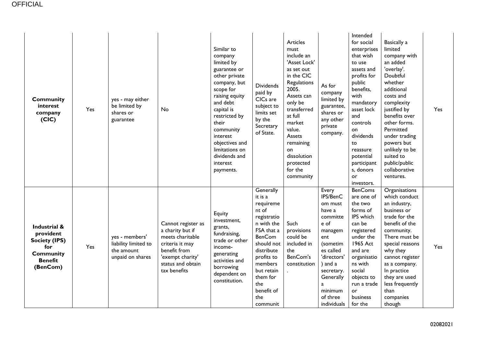| <b>Community</b><br>interest<br>company<br>(CIC)                                                           | Yes | yes - may either<br>be limited by<br>shares or<br>guarantee              | No                                                                                                                                                     | Similar to<br>company<br>limited by<br>guarantee or<br>other private<br>company, but<br>scope for<br>raising equity<br>and debt<br>capital is<br>restricted by<br>their<br>community<br>interest<br>objectives and<br>limitations on<br>dividends and<br>interest<br>payments. | <b>Dividends</b><br>paid by<br>CICs are<br>subject to<br>limits set<br>by the<br>Secretary<br>of State.                                                                                                                       | <b>Articles</b><br>must<br>include an<br>'Asset Lock'<br>as set out<br>in the CIC<br>Regulations<br>2005.<br>Assets can<br>only be<br>transferred<br>at full<br>market<br>value.<br>Assets<br>remaining<br>on<br>dissolution<br>protected<br>for the<br>community | As for<br>company<br>limited by<br>guarantee,<br>shares or<br>any other<br>private<br>company.                                                                                                        | Intended<br>for social<br>enterprises<br>that wish<br>to use<br>assets and<br>profits for<br>public<br>benefits,<br>with<br>mandatory<br>asset lock<br>and<br>controls<br>on<br>dividends<br>to<br>reassure<br>potential<br>participant<br>s, donors<br><b>or</b><br>investors. | Basically a<br>limited<br>company with<br>an added<br>'overlay'.<br>Doubtful<br>whether<br>additional<br>costs and<br>complexity<br>justified by<br>benefits over<br>other forms.<br>Permitted<br>under trading<br>powers but<br>unlikely to be<br>suited to<br>public/public<br>collaborative<br>ventures. | Yes |
|------------------------------------------------------------------------------------------------------------|-----|--------------------------------------------------------------------------|--------------------------------------------------------------------------------------------------------------------------------------------------------|--------------------------------------------------------------------------------------------------------------------------------------------------------------------------------------------------------------------------------------------------------------------------------|-------------------------------------------------------------------------------------------------------------------------------------------------------------------------------------------------------------------------------|-------------------------------------------------------------------------------------------------------------------------------------------------------------------------------------------------------------------------------------------------------------------|-------------------------------------------------------------------------------------------------------------------------------------------------------------------------------------------------------|---------------------------------------------------------------------------------------------------------------------------------------------------------------------------------------------------------------------------------------------------------------------------------|-------------------------------------------------------------------------------------------------------------------------------------------------------------------------------------------------------------------------------------------------------------------------------------------------------------|-----|
| Industrial &<br>provident<br><b>Society (IPS)</b><br>for<br><b>Community</b><br><b>Benefit</b><br>(BenCom) | Yes | yes - members'<br>liability limited to<br>the amount<br>unpaid on shares | Cannot register as<br>a charity but if<br>meets charitable<br>criteria it may<br>benefit from<br>'exempt charity'<br>status and obtain<br>tax benefits | Equity<br>investment,<br>grants,<br>fundraising,<br>trade or other<br>income-<br>generating<br>activities and<br>borrowing<br>dependent on<br>constitution.                                                                                                                    | Generally<br>it is a<br>requireme<br>nt of<br>registratio<br>n with the<br>FSA that a<br><b>BenCom</b><br>should not<br>distribute<br>profits to<br>members<br>but retain<br>them for<br>the<br>benefit of<br>the<br>communit | Such<br>provisions<br>could be<br>included in<br>the<br>BenCom's<br>constitution                                                                                                                                                                                  | Every<br>IPS/BenC<br>om must<br>have a<br>committe<br>e of<br>managem<br>ent<br>(sometim<br>es called<br>'directors'<br>) and a<br>secretary.<br>Generally<br>a<br>minimum<br>of three<br>individuals | <b>BenComs</b><br>are one of<br>the two<br>forms of<br>IPS which<br>can be<br>registered<br>under the<br>1965 Act<br>and are<br>organisatio<br>ns with<br>social<br>objects to<br>run a trade<br>or<br>business<br>for the                                                      | <b>Organisations</b><br>which conduct<br>an industry,<br>business or<br>trade for the<br>benefit of the<br>community.<br>There must be<br>special reasons<br>why they<br>cannot register<br>as a company.<br>In practice<br>they are used<br>less frequently<br>than<br>companies<br>though                 | Yes |